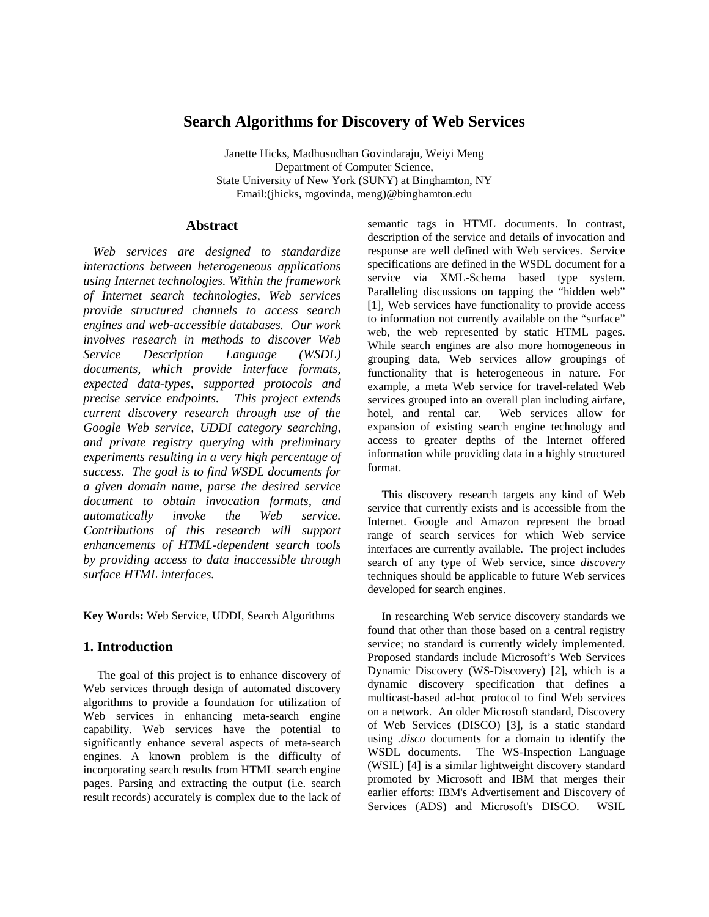## **Search Algorithms for Discovery of Web Services**

Janette Hicks, Madhusudhan Govindaraju, Weiyi Meng Department of Computer Science, State University of New York (SUNY) at Binghamton, NY Email:(jhicks, mgovinda, meng)@binghamton.edu

## **Abstract**

 *Web services are designed to standardize interactions between heterogeneous applications using Internet technologies. Within the framework of Internet search technologies, Web services provide structured channels to access search engines and web-accessible databases. Our work involves research in methods to discover Web Service Description Language (WSDL) documents, which provide interface formats, expected data-types, supported protocols and precise service endpoints. This project extends current discovery research through use of the Google Web service, UDDI category searching, and private registry querying with preliminary experiments resulting in a very high percentage of success. The goal is to find WSDL documents for a given domain name, parse the desired service document to obtain invocation formats, and automatically invoke the Web service. Contributions of this research will support enhancements of HTML-dependent search tools by providing access to data inaccessible through surface HTML interfaces.* 

**Key Words:** Web Service, UDDI, Search Algorithms

## **1. Introduction**

The goal of this project is to enhance discovery of Web services through design of automated discovery algorithms to provide a foundation for utilization of Web services in enhancing meta-search engine capability. Web services have the potential to significantly enhance several aspects of meta-search engines. A known problem is the difficulty of incorporating search results from HTML search engine pages. Parsing and extracting the output (i.e. search result records) accurately is complex due to the lack of

semantic tags in HTML documents. In contrast, description of the service and details of invocation and response are well defined with Web services. Service specifications are defined in the WSDL document for a service via XML-Schema based type system. Paralleling discussions on tapping the "hidden web" [1], Web services have functionality to provide access to information not currently available on the "surface" web, the web represented by static HTML pages. While search engines are also more homogeneous in grouping data, Web services allow groupings of functionality that is heterogeneous in nature. For example, a meta Web service for travel-related Web services grouped into an overall plan including airfare, hotel, and rental car. Web services allow for expansion of existing search engine technology and access to greater depths of the Internet offered information while providing data in a highly structured format.

This discovery research targets any kind of Web service that currently exists and is accessible from the Internet. Google and Amazon represent the broad range of search services for which Web service interfaces are currently available. The project includes search of any type of Web service, since *discovery* techniques should be applicable to future Web services developed for search engines.

In researching Web service discovery standards we found that other than those based on a central registry service; no standard is currently widely implemented. Proposed standards include Microsoft's Web Services Dynamic Discovery (WS-Discovery) [2], which is a dynamic discovery specification that defines a multicast-based ad-hoc protocol to find Web services on a network. An older Microsoft standard, Discovery of Web Services (DISCO) [3], is a static standard using *.disco* documents for a domain to identify the WSDL documents. The [WS-Inspection](http://www-106.ibm.com/developerworks/webservices/library/ws-wsilspec.html) Language (WSIL) [4] is a similar lightweight discovery standard promoted by Microsoft and IBM that merges their earlier efforts: IBM's Advertisement and Discovery of Services (ADS) and Microsoft's DISCO. WSIL